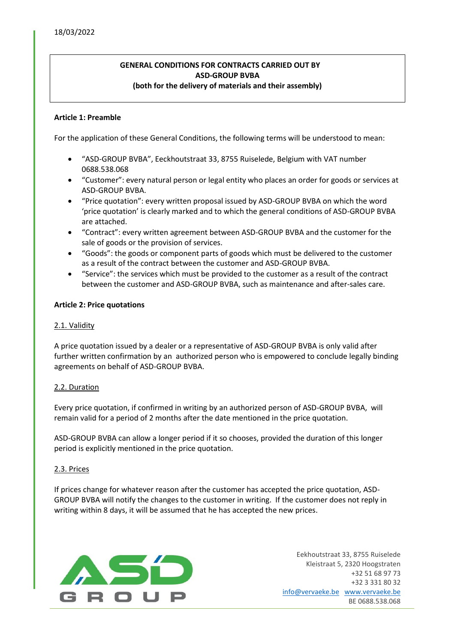## **GENERAL CONDITIONS FOR CONTRACTS CARRIED OUT BY ASD-GROUP BVBA (both for the delivery of materials and their assembly)**

### **Article 1: Preamble**

For the application of these General Conditions, the following terms will be understood to mean:

- "ASD-GROUP BVBA", Eeckhoutstraat 33, 8755 Ruiselede, Belgium with VAT number 0688.538.068
- "Customer": every natural person or legal entity who places an order for goods or services at ASD-GROUP BVBA.
- "Price quotation": every written proposal issued by ASD-GROUP BVBA on which the word 'price quotation' is clearly marked and to which the general conditions of ASD-GROUP BVBA are attached.
- "Contract": every written agreement between ASD-GROUP BVBA and the customer for the sale of goods or the provision of services.
- "Goods": the goods or component parts of goods which must be delivered to the customer as a result of the contract between the customer and ASD-GROUP BVBA.
- "Service": the services which must be provided to the customer as a result of the contract between the customer and ASD-GROUP BVBA, such as maintenance and after-sales care.

#### **Article 2: Price quotations**

### 2.1. Validity

A price quotation issued by a dealer or a representative of ASD-GROUP BVBA is only valid after further written confirmation by an authorized person who is empowered to conclude legally binding agreements on behalf of ASD-GROUP BVBA.

#### 2.2. Duration

Every price quotation, if confirmed in writing by an authorized person of ASD-GROUP BVBA, will remain valid for a period of 2 months after the date mentioned in the price quotation.

ASD-GROUP BVBA can allow a longer period if it so chooses, provided the duration of this longer period is explicitly mentioned in the price quotation.

## 2.3. Prices

If prices change for whatever reason after the customer has accepted the price quotation, ASD-GROUP BVBA will notify the changes to the customer in writing. If the customer does not reply in writing within 8 days, it will be assumed that he has accepted the new prices.

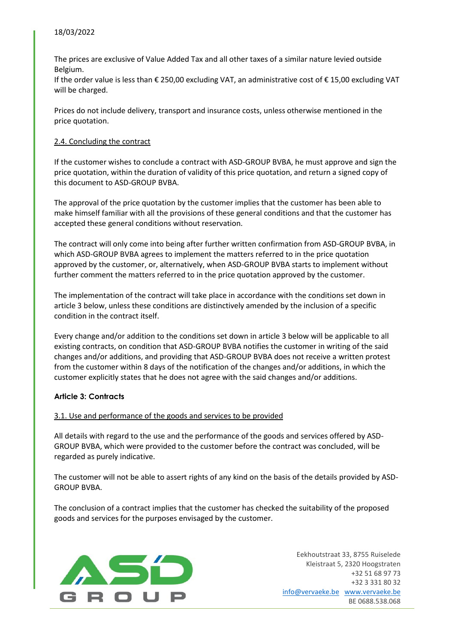### 18/03/2022

The prices are exclusive of Value Added Tax and all other taxes of a similar nature levied outside Belgium.

If the order value is less than € 250,00 excluding VAT, an administrative cost of € 15,00 excluding VAT will be charged.

Prices do not include delivery, transport and insurance costs, unless otherwise mentioned in the price quotation.

### 2.4. Concluding the contract

If the customer wishes to conclude a contract with ASD-GROUP BVBA, he must approve and sign the price quotation, within the duration of validity of this price quotation, and return a signed copy of this document to ASD-GROUP BVBA.

The approval of the price quotation by the customer implies that the customer has been able to make himself familiar with all the provisions of these general conditions and that the customer has accepted these general conditions without reservation.

The contract will only come into being after further written confirmation from ASD-GROUP BVBA, in which ASD-GROUP BVBA agrees to implement the matters referred to in the price quotation approved by the customer, or, alternatively, when ASD-GROUP BVBA starts to implement without further comment the matters referred to in the price quotation approved by the customer.

The implementation of the contract will take place in accordance with the conditions set down in article 3 below, unless these conditions are distinctively amended by the inclusion of a specific condition in the contract itself.

Every change and/or addition to the conditions set down in article 3 below will be applicable to all existing contracts, on condition that ASD-GROUP BVBA notifies the customer in writing of the said changes and/or additions, and providing that ASD-GROUP BVBA does not receive a written protest from the customer within 8 days of the notification of the changes and/or additions, in which the customer explicitly states that he does not agree with the said changes and/or additions.

#### **Article 3: Contracts**

#### 3.1. Use and performance of the goods and services to be provided

All details with regard to the use and the performance of the goods and services offered by ASD-GROUP BVBA, which were provided to the customer before the contract was concluded, will be regarded as purely indicative.

The customer will not be able to assert rights of any kind on the basis of the details provided by ASD-GROUP BVBA.

The conclusion of a contract implies that the customer has checked the suitability of the proposed goods and services for the purposes envisaged by the customer.

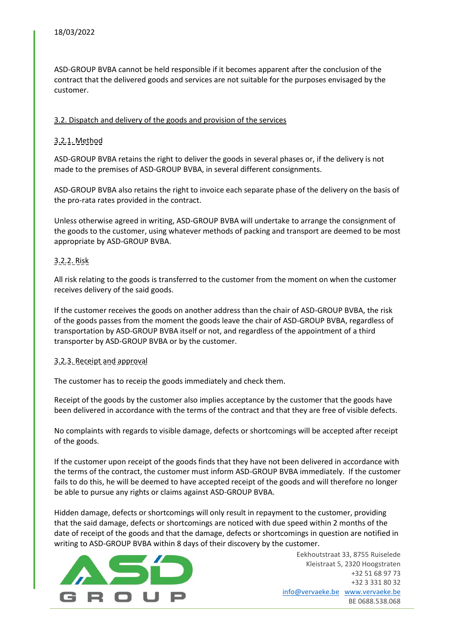ASD-GROUP BVBA cannot be held responsible if it becomes apparent after the conclusion of the contract that the delivered goods and services are not suitable for the purposes envisaged by the customer.

## 3.2. Dispatch and delivery of the goods and provision of the services

# 3.2.1. Method

ASD-GROUP BVBA retains the right to deliver the goods in several phases or, if the delivery is not made to the premises of ASD-GROUP BVBA, in several different consignments.

ASD-GROUP BVBA also retains the right to invoice each separate phase of the delivery on the basis of the pro-rata rates provided in the contract.

Unless otherwise agreed in writing, ASD-GROUP BVBA will undertake to arrange the consignment of the goods to the customer, using whatever methods of packing and transport are deemed to be most appropriate by ASD-GROUP BVBA.

## 3.2.2. Risk

All risk relating to the goods is transferred to the customer from the moment on when the customer receives delivery of the said goods.

If the customer receives the goods on another address than the chair of ASD-GROUP BVBA, the risk of the goods passes from the moment the goods leave the chair of ASD-GROUP BVBA, regardless of transportation by ASD-GROUP BVBA itself or not, and regardless of the appointment of a third transporter by ASD-GROUP BVBA or by the customer.

## 3.2.3. Receipt and approval

The customer has to receip the goods immediately and check them.

Receipt of the goods by the customer also implies acceptance by the customer that the goods have been delivered in accordance with the terms of the contract and that they are free of visible defects.

No complaints with regards to visible damage, defects or shortcomings will be accepted after receipt of the goods.

If the customer upon receipt of the goods finds that they have not been delivered in accordance with the terms of the contract, the customer must inform ASD-GROUP BVBA immediately. If the customer fails to do this, he will be deemed to have accepted receipt of the goods and will therefore no longer be able to pursue any rights or claims against ASD-GROUP BVBA.

Hidden damage, defects or shortcomings will only result in repayment to the customer, providing that the said damage, defects or shortcomings are noticed with due speed within 2 months of the date of receipt of the goods and that the damage, defects or shortcomings in question are notified in writing to ASD-GROUP BVBA within 8 days of their discovery by the customer.

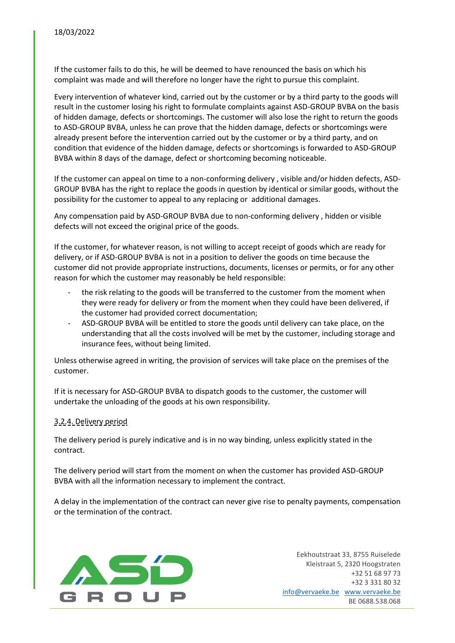If the customer fails to do this, he will be deemed to have renounced the basis on which his complaint was made and will therefore no longer have the right to pursue this complaint.

Every intervention of whatever kind, carried out by the customer or by a third party to the goods will result in the customer losing his right to formulate complaints against ASD-GROUP BVBA on the basis of hidden damage, defects or shortcomings. The customer will also lose the right to return the goods to ASD-GROUP BVBA, unless he can prove that the hidden damage, defects or shortcomings were already present before the intervention carried out by the customer or by a third party, and on condition that evidence of the hidden damage, defects or shortcomings is forwarded to ASD-GROUP BVBA within 8 days of the damage, defect or shortcoming becoming noticeable.

If the customer can appeal on time to a non-conforming delivery , visible and/or hidden defects, ASD-GROUP BVBA has the right to replace the goods in question by identical or similar goods, without the possibility for the customer to appeal to any replacing or additional damages.

Any compensation paid by ASD-GROUP BVBA due to non-conforming delivery , hidden or visible defects will not exceed the original price of the goods.

If the customer, for whatever reason, is not willing to accept receipt of goods which are ready for delivery, or if ASD-GROUP BVBA is not in a position to deliver the goods on time because the customer did not provide appropriate instructions, documents, licenses or permits, or for any other reason for which the customer may reasonably be held responsible:

- the risk relating to the goods will be transferred to the customer from the moment when they were ready for delivery or from the moment when they could have been delivered, if the customer had provided correct documentation;
- ASD-GROUP BVBA will be entitled to store the goods until delivery can take place, on the understanding that all the costs involved will be met by the customer, including storage and insurance fees, without being limited.

Unless otherwise agreed in writing, the provision of services will take place on the premises of the customer.

If it is necessary for ASD-GROUP BVBA to dispatch goods to the customer, the customer will undertake the unloading of the goods at his own responsibility.

## 3.2.4. Delivery period

The delivery period is purely indicative and is in no way binding, unless explicitly stated in the contract.

The delivery period will start from the moment on when the customer has provided ASD-GROUP BVBA with all the information necessary to implement the contract.

A delay in the implementation of the contract can never give rise to penalty payments, compensation or the termination of the contract.

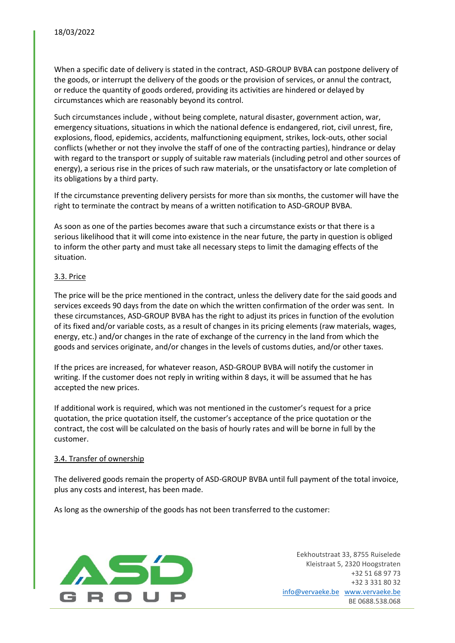When a specific date of delivery is stated in the contract, ASD-GROUP BVBA can postpone delivery of the goods, or interrupt the delivery of the goods or the provision of services, or annul the contract, or reduce the quantity of goods ordered, providing its activities are hindered or delayed by circumstances which are reasonably beyond its control.

Such circumstances include , without being complete, natural disaster, government action, war, emergency situations, situations in which the national defence is endangered, riot, civil unrest, fire, explosions, flood, epidemics, accidents, malfunctioning equipment, strikes, lock-outs, other social conflicts (whether or not they involve the staff of one of the contracting parties), hindrance or delay with regard to the transport or supply of suitable raw materials (including petrol and other sources of energy), a serious rise in the prices of such raw materials, or the unsatisfactory or late completion of its obligations by a third party.

If the circumstance preventing delivery persists for more than six months, the customer will have the right to terminate the contract by means of a written notification to ASD-GROUP BVBA.

As soon as one of the parties becomes aware that such a circumstance exists or that there is a serious likelihood that it will come into existence in the near future, the party in question is obliged to inform the other party and must take all necessary steps to limit the damaging effects of the situation.

### 3.3. Price

The price will be the price mentioned in the contract, unless the delivery date for the said goods and services exceeds 90 days from the date on which the written confirmation of the order was sent. In these circumstances, ASD-GROUP BVBA has the right to adjust its prices in function of the evolution of its fixed and/or variable costs, as a result of changes in its pricing elements (raw materials, wages, energy, etc.) and/or changes in the rate of exchange of the currency in the land from which the goods and services originate, and/or changes in the levels of customs duties, and/or other taxes.

If the prices are increased, for whatever reason, ASD-GROUP BVBA will notify the customer in writing. If the customer does not reply in writing within 8 days, it will be assumed that he has accepted the new prices.

If additional work is required, which was not mentioned in the customer's request for a price quotation, the price quotation itself, the customer's acceptance of the price quotation or the contract, the cost will be calculated on the basis of hourly rates and will be borne in full by the customer.

#### 3.4. Transfer of ownership

The delivered goods remain the property of ASD-GROUP BVBA until full payment of the total invoice, plus any costs and interest, has been made.

As long as the ownership of the goods has not been transferred to the customer:

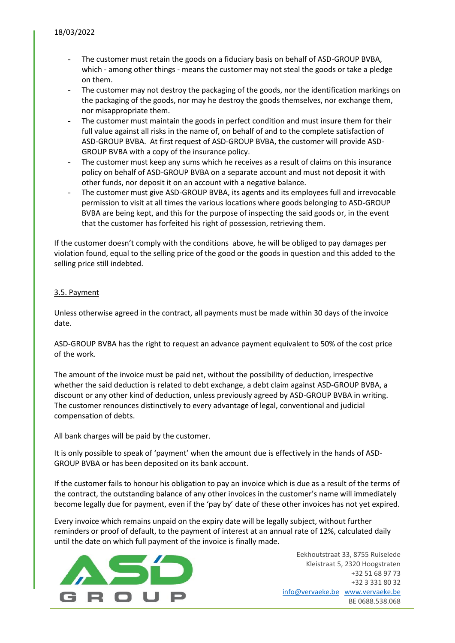- The customer must retain the goods on a fiduciary basis on behalf of ASD-GROUP BVBA, which - among other things - means the customer may not steal the goods or take a pledge on them.
- The customer may not destroy the packaging of the goods, nor the identification markings on the packaging of the goods, nor may he destroy the goods themselves, nor exchange them, nor misappropriate them.
- The customer must maintain the goods in perfect condition and must insure them for their full value against all risks in the name of, on behalf of and to the complete satisfaction of ASD-GROUP BVBA. At first request of ASD-GROUP BVBA, the customer will provide ASD-GROUP BVBA with a copy of the insurance policy.
- The customer must keep any sums which he receives as a result of claims on this insurance policy on behalf of ASD-GROUP BVBA on a separate account and must not deposit it with other funds, nor deposit it on an account with a negative balance.
- The customer must give ASD-GROUP BVBA, its agents and its employees full and irrevocable permission to visit at all times the various locations where goods belonging to ASD-GROUP BVBA are being kept, and this for the purpose of inspecting the said goods or, in the event that the customer has forfeited his right of possession, retrieving them.

If the customer doesn't comply with the conditions above, he will be obliged to pay damages per violation found, equal to the selling price of the good or the goods in question and this added to the selling price still indebted.

## 3.5. Payment

Unless otherwise agreed in the contract, all payments must be made within 30 days of the invoice date.

ASD-GROUP BVBA has the right to request an advance payment equivalent to 50% of the cost price of the work.

The amount of the invoice must be paid net, without the possibility of deduction, irrespective whether the said deduction is related to debt exchange, a debt claim against ASD-GROUP BVBA, a discount or any other kind of deduction, unless previously agreed by ASD-GROUP BVBA in writing. The customer renounces distinctively to every advantage of legal, conventional and judicial compensation of debts.

All bank charges will be paid by the customer.

It is only possible to speak of 'payment' when the amount due is effectively in the hands of ASD-GROUP BVBA or has been deposited on its bank account.

If the customer fails to honour his obligation to pay an invoice which is due as a result of the terms of the contract, the outstanding balance of any other invoices in the customer's name will immediately become legally due for payment, even if the 'pay by' date of these other invoices has not yet expired.

Every invoice which remains unpaid on the expiry date will be legally subject, without further reminders or proof of default, to the payment of interest at an annual rate of 12%, calculated daily until the date on which full payment of the invoice is finally made.

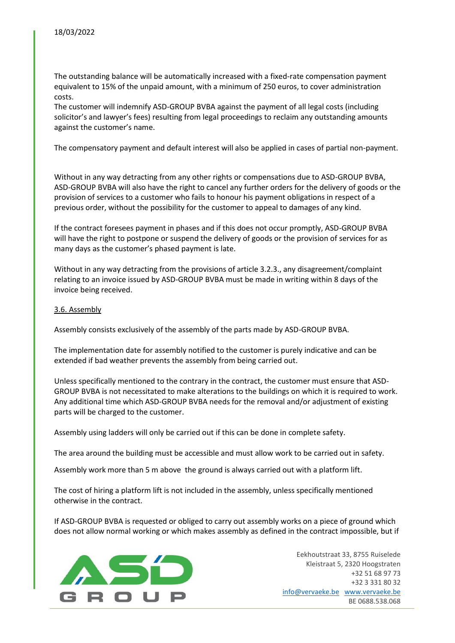The outstanding balance will be automatically increased with a fixed-rate compensation payment equivalent to 15% of the unpaid amount, with a minimum of 250 euros, to cover administration costs.

The customer will indemnify ASD-GROUP BVBA against the payment of all legal costs (including solicitor's and lawyer's fees) resulting from legal proceedings to reclaim any outstanding amounts against the customer's name.

The compensatory payment and default interest will also be applied in cases of partial non-payment.

Without in any way detracting from any other rights or compensations due to ASD-GROUP BVBA, ASD-GROUP BVBA will also have the right to cancel any further orders for the delivery of goods or the provision of services to a customer who fails to honour his payment obligations in respect of a previous order, without the possibility for the customer to appeal to damages of any kind.

If the contract foresees payment in phases and if this does not occur promptly, ASD-GROUP BVBA will have the right to postpone or suspend the delivery of goods or the provision of services for as many days as the customer's phased payment is late.

Without in any way detracting from the provisions of article 3.2.3., any disagreement/complaint relating to an invoice issued by ASD-GROUP BVBA must be made in writing within 8 days of the invoice being received.

#### 3.6. Assembly

Assembly consists exclusively of the assembly of the parts made by ASD-GROUP BVBA.

The implementation date for assembly notified to the customer is purely indicative and can be extended if bad weather prevents the assembly from being carried out.

Unless specifically mentioned to the contrary in the contract, the customer must ensure that ASD-GROUP BVBA is not necessitated to make alterations to the buildings on which it is required to work. Any additional time which ASD-GROUP BVBA needs for the removal and/or adjustment of existing parts will be charged to the customer.

Assembly using ladders will only be carried out if this can be done in complete safety.

The area around the building must be accessible and must allow work to be carried out in safety.

Assembly work more than 5 m above the ground is always carried out with a platform lift.

The cost of hiring a platform lift is not included in the assembly, unless specifically mentioned otherwise in the contract.

If ASD-GROUP BVBA is requested or obliged to carry out assembly works on a piece of ground which does not allow normal working or which makes assembly as defined in the contract impossible, but if

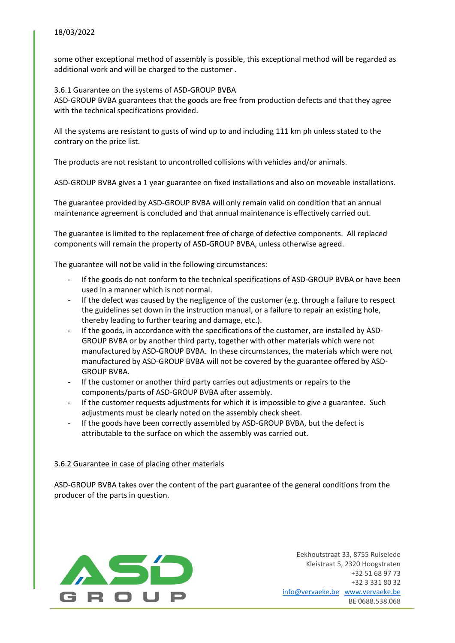some other exceptional method of assembly is possible, this exceptional method will be regarded as additional work and will be charged to the customer .

### 3.6.1 Guarantee on the systems of ASD-GROUP BVBA

ASD-GROUP BVBA guarantees that the goods are free from production defects and that they agree with the technical specifications provided.

All the systems are resistant to gusts of wind up to and including 111 km ph unless stated to the contrary on the price list.

The products are not resistant to uncontrolled collisions with vehicles and/or animals.

ASD-GROUP BVBA gives a 1 year guarantee on fixed installations and also on moveable installations.

The guarantee provided by ASD-GROUP BVBA will only remain valid on condition that an annual maintenance agreement is concluded and that annual maintenance is effectively carried out.

The guarantee is limited to the replacement free of charge of defective components. All replaced components will remain the property of ASD-GROUP BVBA, unless otherwise agreed.

The guarantee will not be valid in the following circumstances:

- If the goods do not conform to the technical specifications of ASD-GROUP BVBA or have been used in a manner which is not normal.
- If the defect was caused by the negligence of the customer (e.g. through a failure to respect the guidelines set down in the instruction manual, or a failure to repair an existing hole, thereby leading to further tearing and damage, etc.).
- If the goods, in accordance with the specifications of the customer, are installed by ASD-GROUP BVBA or by another third party, together with other materials which were not manufactured by ASD-GROUP BVBA. In these circumstances, the materials which were not manufactured by ASD-GROUP BVBA will not be covered by the guarantee offered by ASD-GROUP BVBA.
- If the customer or another third party carries out adjustments or repairs to the components/parts of ASD-GROUP BVBA after assembly.
- If the customer requests adjustments for which it is impossible to give a guarantee. Such adjustments must be clearly noted on the assembly check sheet.
- If the goods have been correctly assembled by ASD-GROUP BVBA, but the defect is attributable to the surface on which the assembly was carried out.

## 3.6.2 Guarantee in case of placing other materials

ASD-GROUP BVBA takes over the content of the part guarantee of the general conditions from the producer of the parts in question.

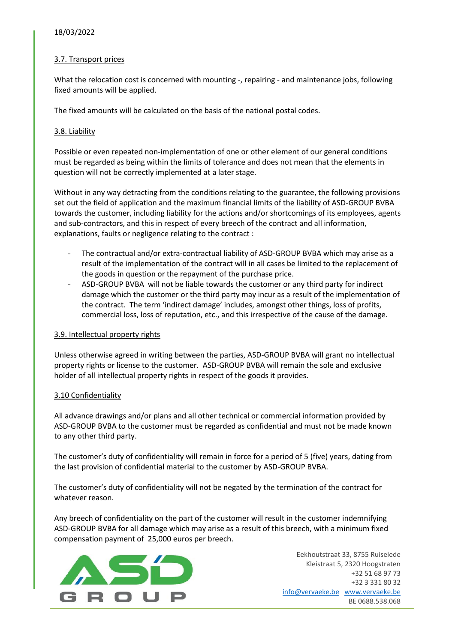### 18/03/2022

### 3.7. Transport prices

What the relocation cost is concerned with mounting -, repairing - and maintenance jobs, following fixed amounts will be applied.

The fixed amounts will be calculated on the basis of the national postal codes.

### 3.8. Liability

Possible or even repeated non-implementation of one or other element of our general conditions must be regarded as being within the limits of tolerance and does not mean that the elements in question will not be correctly implemented at a later stage.

Without in any way detracting from the conditions relating to the guarantee, the following provisions set out the field of application and the maximum financial limits of the liability of ASD-GROUP BVBA towards the customer, including liability for the actions and/or shortcomings of its employees, agents and sub-contractors, and this in respect of every breech of the contract and all information, explanations, faults or negligence relating to the contract :

- The contractual and/or extra-contractual liability of ASD-GROUP BVBA which may arise as a result of the implementation of the contract will in all cases be limited to the replacement of the goods in question or the repayment of the purchase price.
- ASD-GROUP BVBA will not be liable towards the customer or any third party for indirect damage which the customer or the third party may incur as a result of the implementation of the contract. The term 'indirect damage' includes, amongst other things, loss of profits, commercial loss, loss of reputation, etc., and this irrespective of the cause of the damage.

#### 3.9. Intellectual property rights

Unless otherwise agreed in writing between the parties, ASD-GROUP BVBA will grant no intellectual property rights or license to the customer. ASD-GROUP BVBA will remain the sole and exclusive holder of all intellectual property rights in respect of the goods it provides.

#### 3.10 Confidentiality

All advance drawings and/or plans and all other technical or commercial information provided by ASD-GROUP BVBA to the customer must be regarded as confidential and must not be made known to any other third party.

The customer's duty of confidentiality will remain in force for a period of 5 (five) years, dating from the last provision of confidential material to the customer by ASD-GROUP BVBA.

The customer's duty of confidentiality will not be negated by the termination of the contract for whatever reason.

Any breech of confidentiality on the part of the customer will result in the customer indemnifying ASD-GROUP BVBA for all damage which may arise as a result of this breech, with a minimum fixed compensation payment of 25,000 euros per breech.

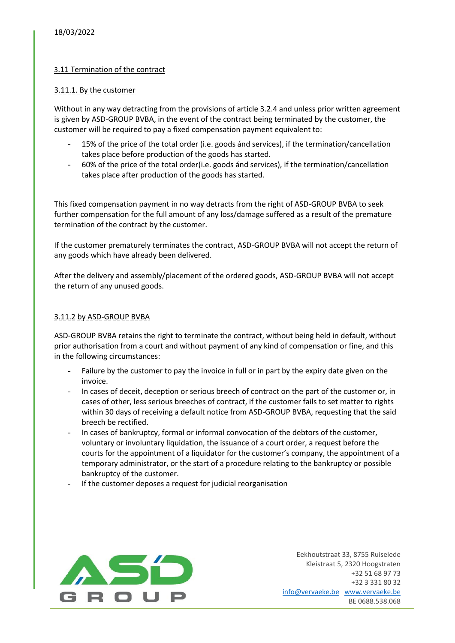## 3.11 Termination of the contract

### 3.11.1. By the customer

Without in any way detracting from the provisions of article 3.2.4 and unless prior written agreement is given by ASD-GROUP BVBA, in the event of the contract being terminated by the customer, the customer will be required to pay a fixed compensation payment equivalent to:

- 15% of the price of the total order (i.e. goods ánd services), if the termination/cancellation takes place before production of the goods has started.
- 60% of the price of the total order(i.e. goods ánd services), if the termination/cancellation takes place after production of the goods has started.

This fixed compensation payment in no way detracts from the right of ASD-GROUP BVBA to seek further compensation for the full amount of any loss/damage suffered as a result of the premature termination of the contract by the customer.

If the customer prematurely terminates the contract, ASD-GROUP BVBA will not accept the return of any goods which have already been delivered.

After the delivery and assembly/placement of the ordered goods, ASD-GROUP BVBA will not accept the return of any unused goods.

### 3.11.2 by ASD-GROUP BVBA

ASD-GROUP BVBA retains the right to terminate the contract, without being held in default, without prior authorisation from a court and without payment of any kind of compensation or fine, and this in the following circumstances:

- Failure by the customer to pay the invoice in full or in part by the expiry date given on the invoice.
- In cases of deceit, deception or serious breech of contract on the part of the customer or, in cases of other, less serious breeches of contract, if the customer fails to set matter to rights within 30 days of receiving a default notice from ASD-GROUP BVBA, requesting that the said breech be rectified.
- In cases of bankruptcy, formal or informal convocation of the debtors of the customer, voluntary or involuntary liquidation, the issuance of a court order, a request before the courts for the appointment of a liquidator for the customer's company, the appointment of a temporary administrator, or the start of a procedure relating to the bankruptcy or possible bankruptcy of the customer.
- If the customer deposes a request for judicial reorganisation